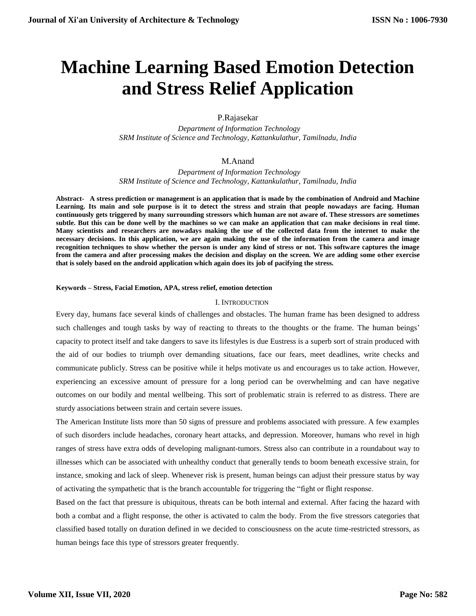# **Machine Learning Based Emotion Detection and Stress Relief Application**

P.Rajasekar

 *Department of Information Technology SRM Institute of Science and Technology, Kattankulathur, Tamilnadu, India*

# M.Anand

 *Department of Information Technology SRM Institute of Science and Technology, Kattankulathur, Tamilnadu, India*

**Abstract- A stress prediction or management is an application that is made by the combination of Android and Machine Learning. Its main and sole purpose is it to detect the stress and strain that people nowadays are facing. Human continuously gets triggered by many surrounding stressors which human are not aware of. These stressors are sometimes subtle. But this can be done well by the machines so we can make an application that can make decisions in real time. Many scientists and researchers are nowadays making the use of the collected data from the internet to make the necessary decisions. In this application, we are again making the use of the information from the camera and image recognition techniques to show whether the person is under any kind of stress or not. This software captures the image from the camera and after processing makes the decision and display on the screen. We are adding some other exercise that is solely based on the android application which again does its job of pacifying the stress.**

#### **Keywords – Stress, Facial Emotion, APA, stress relief, emotion detection**

#### I. INTRODUCTION

Every day, humans face several kinds of challenges and obstacles. The human frame has been designed to address such challenges and tough tasks by way of reacting to threats to the thoughts or the frame. The human beings' capacity to protect itself and take dangers to save its lifestyles is due Eustress is a superb sort of strain produced with the aid of our bodies to triumph over demanding situations, face our fears, meet deadlines, write checks and communicate publicly. Stress can be positive while it helps motivate us and encourages us to take action. However, experiencing an excessive amount of pressure for a long period can be overwhelming and can have negative outcomes on our bodily and mental wellbeing. This sort of problematic strain is referred to as distress. There are sturdy associations between strain and certain severe issues.

The American Institute lists more than 50 signs of pressure and problems associated with pressure. A few examples of such disorders include headaches, coronary heart attacks, and depression. Moreover, humans who revel in high ranges of stress have extra odds of developing malignant-tumors. Stress also can contribute in a roundabout way to illnesses which can be associated with unhealthy conduct that generally tends to boom beneath excessive strain, for instance, smoking and lack of sleep. Whenever risk is present, human beings can adjust their pressure status by way of activating the sympathetic that is the branch accountable for triggering the "fight or flight response.

Based on the fact that pressure is ubiquitous, threats can be both internal and external. After facing the hazard with both a combat and a flight response, the other is activated to calm the body. From the five stressors categories that classified based totally on duration defined in we decided to consciousness on the acute time-restricted stressors, as human beings face this type of stressors greater frequently.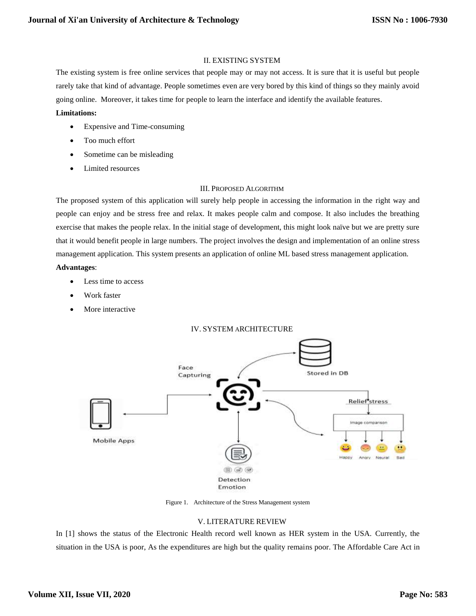## II. EXISTING SYSTEM

The existing system is free online services that people may or may not access. It is sure that it is useful but people rarely take that kind of advantage. People sometimes even are very bored by this kind of things so they mainly avoid going online. Moreover, it takes time for people to learn the interface and identify the available features.

## **Limitations:**

- Expensive and Time-consuming
- Too much effort
- Sometime can be misleading
- Limited resources

# III. PROPOSED ALGORITHM

The proposed system of this application will surely help people in accessing the information in the right way and people can enjoy and be stress free and relax. It makes people calm and compose. It also includes the breathing exercise that makes the people relax. In the initial stage of development, this might look naïve but we are pretty sure that it would benefit people in large numbers. The project involves the design and implementation of an online stress management application. This system presents an application of online ML based stress management application.

## **Advantages**:

- Less time to access
- Work faster
- More interactive



Figure 1. Architecture of the Stress Management system

# V. LITERATURE REVIEW

In [1] shows the status of the Electronic Health record well known as HER system in the USA. Currently, the situation in the USA is poor, As the expenditures are high but the quality remains poor. The Affordable Care Act in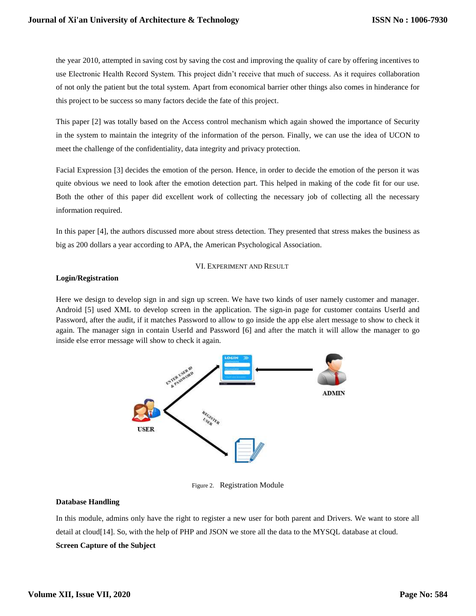the year 2010, attempted in saving cost by saving the cost and improving the quality of care by offering incentives to use Electronic Health Record System. This project didn't receive that much of success. As it requires collaboration of not only the patient but the total system. Apart from economical barrier other things also comes in hinderance for this project to be success so many factors decide the fate of this project.

This paper [2] was totally based on the Access control mechanism which again showed the importance of Security in the system to maintain the integrity of the information of the person. Finally, we can use the idea of UCON to meet the challenge of the confidentiality, data integrity and privacy protection.

Facial Expression [3] decides the emotion of the person. Hence, in order to decide the emotion of the person it was quite obvious we need to look after the emotion detection part. This helped in making of the code fit for our use. Both the other of this paper did excellent work of collecting the necessary job of collecting all the necessary information required.

In this paper [4], the authors discussed more about stress detection. They presented that stress makes the business as big as 200 dollars a year according to APA, the American Psychological Association.

#### VI. EXPERIMENT AND RESULT

## **Login/Registration**

Here we design to develop sign in and sign up screen. We have two kinds of user namely customer and manager. Android [5] used XML to develop screen in the application. The sign-in page for customer contains UserId and Password, after the audit, if it matches Password to allow to go inside the app else alert message to show to check it again. The manager sign in contain UserId and Password [6] and after the match it will allow the manager to go inside else error message will show to check it again.



Figure 2. Registration Module

# **Database Handling**

In this module, admins only have the right to register a new user for both parent and Drivers. We want to store all detail at cloud[14]. So, with the help of PHP and JSON we store all the data to the MYSQL database at cloud. **Screen Capture of the Subject**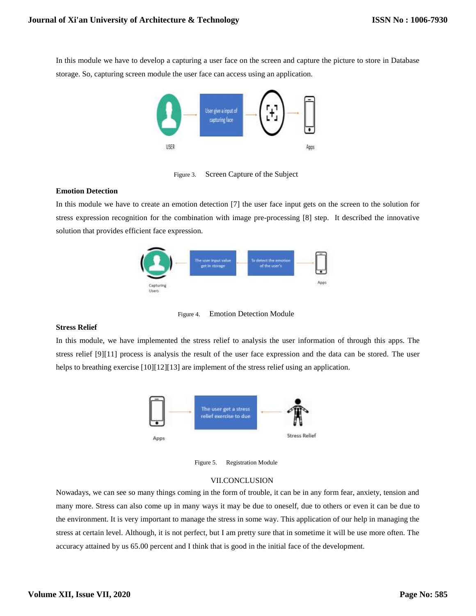In this module we have to develop a capturing a user face on the screen and capture the picture to store in Database storage. So, capturing screen module the user face can access using an application.



Figure 3. Screen Capture of the Subject

#### **Emotion Detection**

In this module we have to create an emotion detection [7] the user face input gets on the screen to the solution for stress expression recognition for the combination with image pre-processing [8] step. It described the innovative solution that provides efficient face expression.



Figure 4. Emotion Detection Module

#### **Stress Relief**

In this module, we have implemented the stress relief to analysis the user information of through this apps. The stress relief [9][11] process is analysis the result of the user face expression and the data can be stored. The user helps to breathing exercise [10][12][13] are implement of the stress relief using an application.



Figure 5. Registration Module

#### VII.CONCLUSION

Nowadays, we can see so many things coming in the form of trouble, it can be in any form fear, anxiety, tension and many more. Stress can also come up in many ways it may be due to oneself, due to others or even it can be due to the environment. It is very important to manage the stress in some way. This application of our help in managing the stress at certain level. Although, it is not perfect, but I am pretty sure that in sometime it will be use more often. The accuracy attained by us 65.00 percent and I think that is good in the initial face of the development.